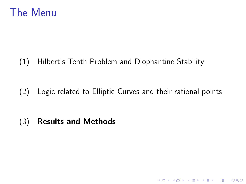### The Menu

(1) Hilbert's Tenth Problem and Diophantine Stability

(2) Logic related to Elliptic Curves and their rational points

K ロ ▶ K @ ▶ K 할 > K 할 > 1 할 > 1 이익어

(3) Results and Methods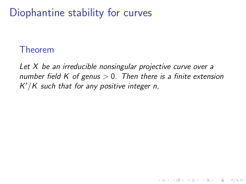# Diophantine stability for curves

### Theorem

Let X be an irreducible nonsingular projective curve over a number field K of genus  $> 0$ . Then there is a finite extension  $K'/K$  such that for any positive integer n,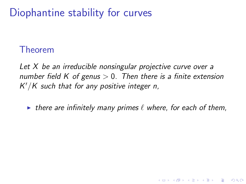# Diophantine stability for curves

### Theorem

Let X be an irreducible nonsingular projective curve over a number field K of genus  $> 0$ . Then there is a finite extension  $K'/K$  such that for any positive integer n,

In there are infinitely many primes  $\ell$  where, for each of them,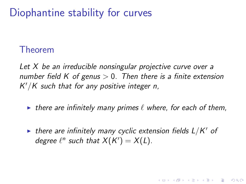# Diophantine stability for curves

### Theorem

Let X be an irreducible nonsingular projective curve over a number field K of genus  $> 0$ . Then there is a finite extension  $K'/K$  such that for any positive integer n,

- In there are infinitely many primes  $\ell$  where, for each of them,
- $\blacktriangleright$  there are infinitely many cyclic extension fields  $L/K'$  of degree  $\ell^n$  such that  $X(K') = X(L)$ .

**KORKAR KERKER EL VOLO**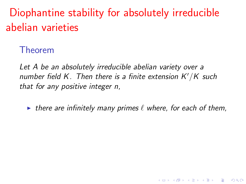Diophantine stability for absolutely irreducible abelian varieties

Theorem

Let A be an absolutely irreducible abelian variety over a number field K. Then there is a finite extension  $K'/K$  such that for any positive integer n,

In there are infinitely many primes  $\ell$  where, for each of them,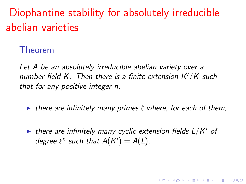Diophantine stability for absolutely irreducible abelian varieties

Theorem

Let A be an absolutely irreducible abelian variety over a number field K. Then there is a finite extension  $K'/K$  such that for any positive integer n,

In there are infinitely many primes  $\ell$  where, for each of them,

 $\blacktriangleright$  there are infinitely many cyclic extension fields  $L/K'$  of degree  $\ell^n$  such that  $A(K') = A(L)$ .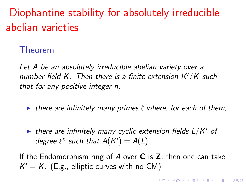Diophantine stability for absolutely irreducible abelian varieties

Theorem

Let A be an absolutely irreducible abelian variety over a number field K. Then there is a finite extension  $K'/K$  such that for any positive integer n,

- In there are infinitely many primes  $\ell$  where, for each of them,
- $\blacktriangleright$  there are infinitely many cyclic extension fields  $L/K'$  of degree  $\ell^n$  such that  $A(K') = A(L)$ .

If the Endomorphism ring of  $A$  over  $C$  is  $Z$ , then one can take  $K' = K$ . (E.g., elliptic curves with no CM)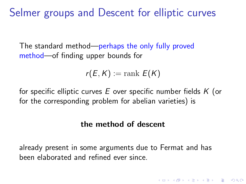Selmer groups and Descent for elliptic curves

The standard method—perhaps the only fully proved method—of finding upper bounds for

$$
r(E,K):=\mathrm{rank}\ E(K)
$$

for specific elliptic curves  $E$  over specific number fields  $K$  (or for the corresponding problem for abelian varieties) is

#### the method of descent

**KORKAR KERKER EL VOLO** 

already present in some arguments due to Fermat and has been elaborated and refined ever since.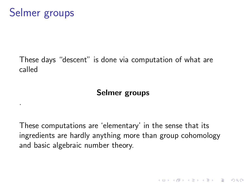.

#### These days "descent" is done via computation of what are called

#### Selmer groups

These computations are 'elementary' in the sense that its ingredients are hardly anything more than group cohomology and basic algebraic number theory.

**K ロ ▶ K @ ▶ K 할 X X 할 X → 할 X → 9 Q Q ^**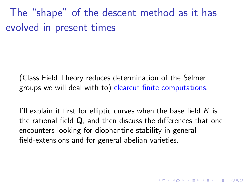The "shape" of the descent method as it has evolved in present times

(Class Field Theory reduces determination of the Selmer groups we will deal with to) clearcut finite computations.

I'll explain it first for elliptic curves when the base field  $K$  is the rational field  $Q$ , and then discuss the differences that one encounters looking for diophantine stability in general field-extensions and for general abelian varieties.

**K ロ ▶ K @ ▶ K 할 X X 할 X → 할 X → 9 Q Q ^**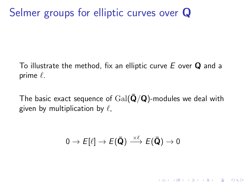# Selmer groups for elliptic curves over Q

To illustrate the method, fix an elliptic curve  $E$  over  $Q$  and a prime  $\ell$ .

The basic exact sequence of  $Gal(\bar{\mathbf{Q}}/\mathbf{Q})$ -modules we deal with given by multiplication by  $\ell$ ,

$$
0 \to E[\ell] \to E(\mathbf{\bar{Q}}) \xrightarrow{\times \ell} E(\mathbf{\bar{Q}}) \to 0
$$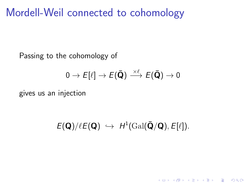### Mordell-Weil connected to cohomology

Passing to the cohomology of

$$
0 \to E[\ell] \to E(\mathbf{\bar{Q}}) \stackrel{\times \ell}{\longrightarrow} E(\mathbf{\bar{Q}}) \to 0
$$

gives us an injection

 $E(\mathbf{Q})/\ell E(\mathbf{Q}) \hookrightarrow H^1(\text{Gal}(\mathbf{\bar{Q}}/\mathbf{Q}), E[\ell]).$ 

K ロ ▶ K @ ▶ K 할 ▶ K 할 ▶ 이 할 → 9 Q @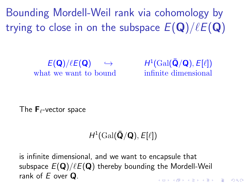Bounding Mordell-Weil rank via cohomology by trying to close in on the subspace  $E(\mathbf{Q})/\ell E(\mathbf{Q})$ 

> $E(Q)/\ell E(Q) \hookrightarrow$ what we want to bound infinite dimensional

 $\mathbf{1}(\mathrm{Gal}(\bar{\mathbf{Q}}/\mathbf{Q}),E[\ell])$ 

The  $\mathsf{F}_{\ell}$ -vector space

### $H^1(\operatorname{Gal}(\bar{\mathbf{Q}}/\mathbf{Q}), E[\ell])$

is infinite dimensional, and we want to encapsule that subspace  $E(\mathbf{Q})/\ell E(\mathbf{Q})$  thereby bounding the Mordell-Weil rank of  $F$  over  $\Omega$ 4 D > 4 P + 4 B + 4 B + B + 9 Q O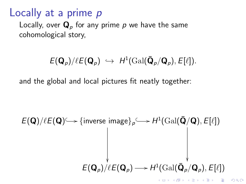### Locally at a prime p

Locally, over  $\mathbf{Q}_p$  for any prime p we have the same cohomological story,

### $E(\mathbf{Q}_p)/\ell E(\mathbf{Q}_p) \hookrightarrow H^1(\text{Gal}(\bar{\mathbf{Q}}_p/\mathbf{Q}_p), E[\ell]).$

and the global and local pictures fit neatly together:

$$
E(\mathbf{Q})/\ell E(\mathbf{Q}) \longrightarrow {\text{inverse image}}_p \longrightarrow H^1(\text{Gal}(\mathbf{\bar{Q}}/\mathbf{Q}), E[\ell])
$$
  

$$
E(\mathbf{Q}_p)/\ell E(\mathbf{Q}_p) \longrightarrow H^1(\text{Gal}(\mathbf{\bar{Q}}_p/\mathbf{Q}_p), E[\ell])
$$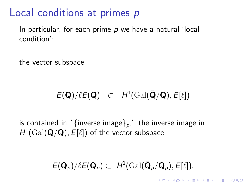### Local conditions at primes p

In particular, for each prime  $p$  we have a natural 'local condition':

the vector subspace

### $E(\mathbf{Q})/\ell E(\mathbf{Q}) \subset H^1(\text{Gal}(\mathbf{\bar{Q}}/\mathbf{Q}), E[\ell])$

is contained in "{inverse image} $_{\rho}$ ," the inverse image in  $H^1(\text{Gal}(\bar{\mathbf{Q}}/\mathbf{Q}), \tilde{E[\ell]} )$  of the vector subspace

### $E(\mathbf{Q}_p)/\ell E(\mathbf{Q}_p) \subset H^1(\text{Gal}(\bar{\mathbf{Q}}_p/\mathbf{Q}_p), E[\ell]).$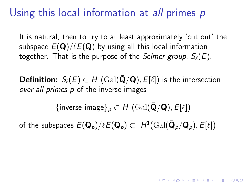## Using this local information at all primes p

It is natural, then to try to at least approximately 'cut out' the subspace  $E(Q)/\ell E(Q)$  by using all this local information together. That is the purpose of the Selmer group,  $S_{\ell}(E)$ .

**Definition:**  $S_{\ell}(E) \subset H^1(\text{Gal}(\bar{\mathbf{Q}}/\mathbf{Q}), E[\ell])$  is the intersection over all primes p of the inverse images

 $\{\mathsf{inverse}\ \mathsf{image}\}_p \subset H^1(\mathop{\text{\rm Gal}}\nolimits(\bar{\mathbf{Q}}/\mathbf{Q}), E[\ell])$ 

of the subspaces  $E(\mathbf{Q}_\rho)/\ell E(\mathbf{Q}_\rho) \subset\ H^1(\text{Gal}(\mathbf{\bar{Q}}_\rho/\mathbf{Q}_\rho),E[\ell]).$ 

**KORKAR KERKER EL VOLO**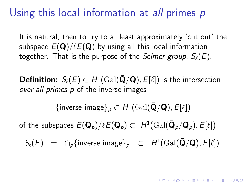### Using this local information at *all* primes p

It is natural, then to try to at least approximately 'cut out' the subspace  $E(Q)/\ell E(Q)$  by using all this local information together. That is the purpose of the Selmer group,  $S_{\ell}(E)$ .

**Definition:**  $S_{\ell}(E) \subset H^1(\text{Gal}(\bar{\mathbf{Q}}/\mathbf{Q}), E[\ell])$  is the intersection over all primes p of the inverse images

 $\{\mathsf{inverse}\ \mathsf{image}\}_p \subset H^1(\mathop{\text{\rm Gal}}\nolimits(\bar{\mathbf{Q}}/\mathbf{Q}), E[\ell])$ 

of the subspaces  $E(\mathbf{Q}_\rho)/\ell E(\mathbf{Q}_\rho) \subset\ H^1(\text{Gal}(\mathbf{\bar{Q}}_\rho/\mathbf{Q}_\rho),E[\ell]).$ 

 $S_{\ell}(E)$  =  $\bigcap_{p}$  {inverse image} $_p$   $\subset$   $H^1(\text{Gal}(\bar{\mathbf{Q}}/\mathbf{Q}), E[\ell]).$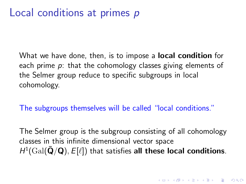What we have done, then, is to impose a **local condition** for each prime p: that the cohomology classes giving elements of the Selmer group reduce to specific subgroups in local cohomology.

The subgroups themselves will be called "local conditions."

The Selmer group is the subgroup consisting of all cohomology classes in this infinite dimensional vector space  $H^1(\text{Gal}(\bar{\mathbf{Q}}/\mathbf{Q}), E[\ell])$  that satisfies all these local conditions.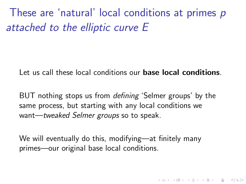These are 'natural' local conditions at primes p attached to the elliptic curve E

Let us call these local conditions our **base local conditions**.

BUT nothing stops us from *defining* 'Selmer groups' by the same process, but starting with any local conditions we want—tweaked Selmer groups so to speak.

We will eventually do this, modifying—at finitely many primes—our original base local conditions.

**KORKAR KERKER EL VOLO**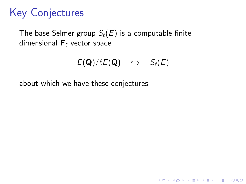# Key Conjectures

The base Selmer group  $S_{\ell}(E)$  is a computable finite dimensional  $\mathbf{F}_{\ell}$  vector space

$$
E(\mathbf{Q})/\ell E(\mathbf{Q}) \quad \hookrightarrow \quad S_{\ell}(E)
$$

K ロ ▶ K @ ▶ K 할 > K 할 > 1 할 > 1 이익어

about which we have these conjectures: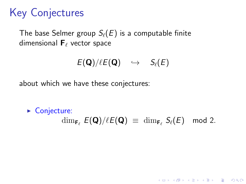# Key Conjectures

The base Selmer group  $S_{\ell}(E)$  is a computable finite dimensional  $\mathbf{F}_{\ell}$  vector space

$$
E(\mathbf{Q})/\ell E(\mathbf{Q}) \quad \hookrightarrow \quad S_{\ell}(E)
$$

about which we have these conjectures:

 $\triangleright$  Conjecture:  $\dim_{\mathbf{F}_{\ell}} E(\mathbf{Q})/\ell E(\mathbf{Q}) \equiv \dim_{\mathbf{F}_{\ell}} S_{\ell}(E) \mod 2.$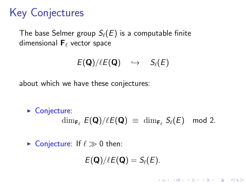## Key Conjectures

The base Selmer group  $S_{\ell}(E)$  is a computable finite dimensional  $\mathbf{F}_{\ell}$  vector space

$$
E(\mathbf{Q})/\ell E(\mathbf{Q}) \quad \hookrightarrow \quad S_{\ell}(E)
$$

about which we have these conjectures:

 $\triangleright$  Conjecture:  $\dim_{\mathbf{F}_{\ell}} E(\mathbf{Q})/\ell E(\mathbf{Q}) \equiv \dim_{\mathbf{F}_{\ell}} S_{\ell}(E) \mod 2.$ 

 $\triangleright$  Conjecture: If  $\ell \gg 0$  then:

$$
E(\mathbf{Q})/\ell E(\mathbf{Q})=S_{\ell}(E).
$$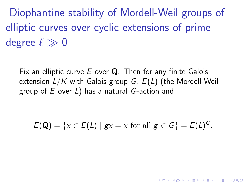Diophantine stability of Mordell-Weil groups of elliptic curves over cyclic extensions of prime degree  $\ell \gg 0$ 

Fix an elliptic curve  $E$  over  $Q$ . Then for any finite Galois extension  $L/K$  with Galois group G,  $E(L)$  (the Mordell-Weil group of E over L) has a natural G-action and

 $E(\mathbf{Q}) = \{x \in E(L) \mid gx = x \text{ for all } g \in G\} = E(L)^{G}.$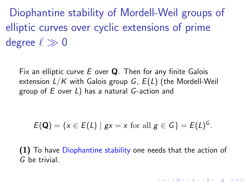Diophantine stability of Mordell-Weil groups of elliptic curves over cyclic extensions of prime degree  $\ell \gg 0$ 

Fix an elliptic curve  $E$  over  $Q$ . Then for any finite Galois extension  $L/K$  with Galois group G,  $E(L)$  (the Mordell-Weil group of E over L) has a natural G-action and

 $E(\mathbf{Q}) = \{x \in E(L) \mid gx = x \text{ for all } g \in G\} = E(L)^{G}.$ 

(1) To have Diophantine stability one needs that the action of G be trivial.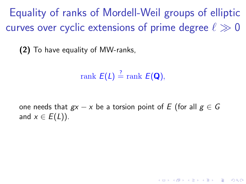Equality of ranks of Mordell-Weil groups of elliptic curves over cyclic extensions of prime degree  $\ell \gg 0$ 

(2) To have equality of MW-ranks,

$$
\operatorname{rank} \, E(L) \stackrel{?}{=} \operatorname{rank} \, E(\mathbf{Q}),
$$

one needs that  $gx - x$  be a torsion point of E (for all  $g \in G$ and  $x \in E(L)$ ).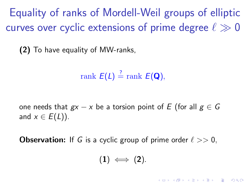Equality of ranks of Mordell-Weil groups of elliptic curves over cyclic extensions of prime degree  $\ell \gg 0$ 

(2) To have equality of MW-ranks,

$$
\operatorname{rank} \, E(L) \stackrel{?}{=} \operatorname{rank} \, E(\mathbf{Q}),
$$

one needs that  $gx - x$  be a torsion point of E (for all  $g \in G$ and  $x \in E(L)$ ).

**Observation:** If G is a cyclic group of prime order  $\ell >> 0$ ,

$$
(1) \iff (2).
$$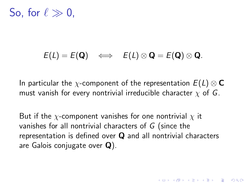So, for  $\ell \gg 0$ .

#### $E(L) = E(Q) \iff E(L) \otimes Q = E(Q) \otimes Q.$

In particular the  $\chi$ -component of the representation  $E(L) \otimes \mathbb{C}$ must vanish for every nontrivial irreducible character  $\chi$  of G.

But if the  $\chi$ -component vanishes for one nontrivial  $\chi$  it vanishes for all nontrivial characters of G (since the representation is defined over Q and all nontrivial characters are Galois conjugate over Q).

**KORKAR KERKER EL VOLO**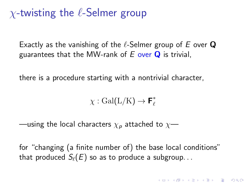### $\chi$ -twisting the  $\ell$ -Selmer group

Exactly as the vanishing of the  $\ell$ -Selmer group of E over Q guarantees that the MW-rank of  $E$  over  $Q$  is trivial,

there is a procedure starting with a nontrivial character,

 $\chi : \text{Gal}(L/K) \to \mathbf{F}_{\ell}^*$  $\ell$ 

—using the local characters  $\chi_p$  attached to  $\chi$ —

for "changing (a finite number of) the base local conditions" that produced  $S_{\ell}(E)$  so as to produce a subgroup...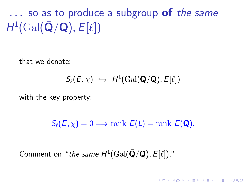$\ldots$  so as to produce a subgroup of the same  $H^1(\text{Gal}(\bar{\textbf{Q}}/\textbf{Q}), E[\ell])$ 

that we denote:

$$
S_{\ell}(E,\chi) \ \hookrightarrow \ H^1(\textup{Gal}(\bar{\textbf{Q}}/\textbf{Q}),E[\ell])
$$

with the key property:

 $S_{\ell}(E, \chi) = 0 \Longrightarrow$  rank  $E(L) = \text{rank } E(\mathbf{Q}).$ 

**KORK ERKER ADE YOUR** 

Comment on "the same  $H^1(\text{Gal}(\bar{\mathbf{Q}}/\mathbf{Q}), E[\ell])$ ."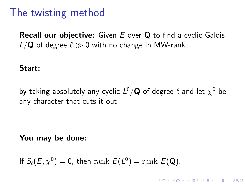### The twisting method

**Recall our objective:** Given  $E$  over  $Q$  to find a cyclic Galois  $L/Q$  of degree  $\ell \gg 0$  with no change in MW-rank.

Start:

by taking absolutely any cyclic  $L^0/{\bf Q}$  of degree  $\ell$  and let  $\chi^0$  be any character that cuts it out.

**KORKAR KERKER EL VOLO** 

You may be done:

If  $S_{\ell}(E, \chi^0) = 0$ , then  $\text{rank } E(L^0) = \text{rank } E(\mathbf{Q})$ .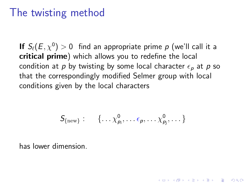### The twisting method

If  $\mathcal{S}_{\ell}(E,\chi^0)>0$  find an appropriate prime  $p$  (we'll call it a critical prime) which allows you to redefine the local condition at p by twisting by some local character  $\epsilon_p$  at p so that the correspondingly modified Selmer group with local conditions given by the local characters

$$
S_{\{\text{new}\}}: \{ \ldots \chi^0_{p_i}, \ldots \epsilon_p, \ldots \chi^0_{p_j}, \ldots \}
$$

**KORKAR KERKER EL VOLO** 

has lower dimension.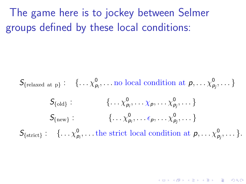The game here is to jockey between Selmer groups defined by these local conditions:

 $\mathcal{S}_{\{\text{relaxed at }p\}}: \quad \{\ldots \chi^0_{p_i}, \ldots \text{no local condition at } p, \ldots \chi^0_{p_j}, \ldots \}$ 

$$
S_{\{\text{old}\}}: \qquad \{ \ldots \chi^0_{p_i}, \ldots \chi^0_{p_j}, \ldots \} \atop S_{\{\text{new}\}}: \qquad \{ \ldots \chi^0_{p_i}, \ldots \epsilon_{p}, \ldots \chi^0_{p_j}, \ldots \}
$$

 $\mathcal{S}_{\{\text{strict}\}}: \{\ldots \chi^0_{p_i}, \ldots \text{the strict local condition at } p, \ldots \chi^0_{p_j}, \ldots \}.$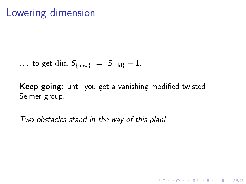### Lowering dimension

$$
\ldots to get \dim S_{\text{new}} = S_{\text{odd}} - 1.
$$

Keep going: until you get a vanishing modified twisted Selmer group.

K ロ ▶ K @ ▶ K 할 > K 할 > 1 할 > 1 이익어

Two obstacles stand in the way of this plan!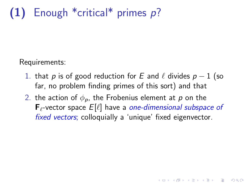# $(1)$  Enough \*critical\* primes p?

Requirements:

- 1. that p is of good reduction for E and  $\ell$  divides  $p 1$  (so far, no problem finding primes of this sort) and that
- 2. the action of  $\phi_p$ , the Frobenius element at p on the  $\mathsf{F}_{\ell}$ -vector space  $E[\ell]$  have a one-dimensional subspace of fixed vectors; colloquially a 'unique' fixed eigenvector.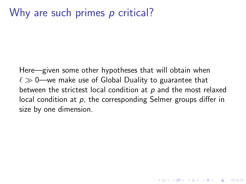### Why are such primes p critical?

Here—given some other hypotheses that will obtain when  $\ell \gg 0$ —we make use of Global Duality to guarantee that between the strictest local condition at  $p$  and the most relaxed local condition at  $p$ , the corresponding Selmer groups differ in size by one dimension.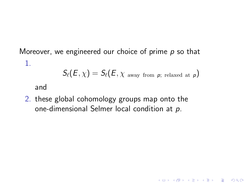Moreover, we engineered our choice of prime  $p$  so that 1.

$$
\mathcal{S}_{\ell}(E,\chi)=\mathcal{S}_{\ell}(E,\chi_{\rm away\ from\ \textit{p};\ \rm relaxed\ at\ \textit{p}})
$$

K ロ ▶ K @ ▶ K 할 > K 할 > 1 할 > 1 이익어

and

2. these global cohomology groups map onto the one-dimensional Selmer local condition at p.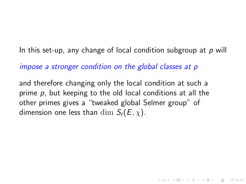In this set-up, any change of local condition subgroup at  $p$  will

impose a stronger condition on the global classes at p

and therefore changing only the local condition at such a prime  $p$ , but keeping to the old local conditions at all the other primes gives a "tweaked global Selmer group" of dimension one less than dim  $S_\ell(E, \chi)$ .

4 D > 4 P + 4 B + 4 B + B + 9 Q O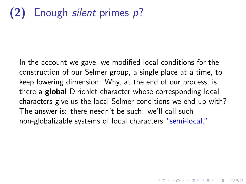In the account we gave, we modified local conditions for the construction of our Selmer group, a single place at a time, to keep lowering dimension. Why, at the end of our process, is there a **global** Dirichlet character whose corresponding local characters give us the local Selmer conditions we end up with? The answer is: there needn't be such: we'll call such non-globalizable systems of local characters "semi-local."

4 D > 4 P + 4 B + 4 B + B + 9 Q O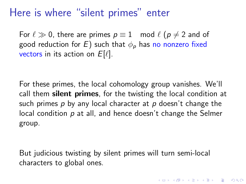### Here is where "silent primes" enter

For  $\ell \gg 0$ , there are primes  $p \equiv 1 \mod \ell$  ( $p \neq 2$  and of good reduction for E) such that  $\phi_p$  has no nonzero fixed vectors in its action on  $E[\ell]$ .

For these primes, the local cohomology group vanishes. We'll call them silent primes, for the twisting the local condition at such primes  $p$  by any local character at  $p$  doesn't change the local condition p at all, and hence doesn't change the Selmer group.

But judicious twisting by silent primes will turn semi-local characters to global ones.

**KORKAR KERKER EL VOLO**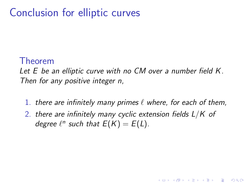### Conclusion for elliptic curves

#### Theorem

Let E be an elliptic curve with no CM over a number field K. Then for any positive integer n,

1. there are infinitely many primes  $\ell$  where, for each of them,

**KORK STRAIN A BAR SHOP** 

2. there are infinitely many cyclic extension fields  $L/K$  of degree  $\ell^n$  such that  $E(K) = E(L)$ .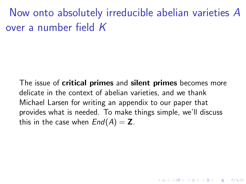Now onto absolutely irreducible abelian varieties A over a number field K

The issue of **critical primes** and **silent primes** becomes more delicate in the context of abelian varieties, and we thank Michael Larsen for writing an appendix to our paper that provides what is needed. To make things simple, we'll discuss this in the case when  $End(A) = \mathbb{Z}$ .

**K ロ ▶ K @ ▶ K 할 X X 할 X → 할 X → 9 Q Q ^**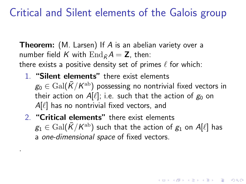### Critical and Silent elements of the Galois group

**Theorem:** (M. Larsen) If A is an abelian variety over a number field K with  $\text{End}_{\vec{k}}A = \mathbf{Z}$ , then: there exists a positive density set of primes  $\ell$  for which:

- 1. "Silent elements" there exist elements  $\rm g_0\in\rm{Gal}(\bar{K}/K^{\rm{ab}})$  possessing no nontrivial fixed vectors in their action on A[ $\ell$ ]; i.e. such that the action of  $g_0$  on  $A[\ell]$  has no nontrivial fixed vectors, and
- 2. "Critical elements" there exist elements  $\displaystyle g_1 \in \operatorname{Gal}(\bar K/K^{\rm ab})$  such that the action of  $g_1$  on  $A[\ell]$  has a one-dimensional space of fixed vectors.

**KORKAR KERKER EL VOLO** 

.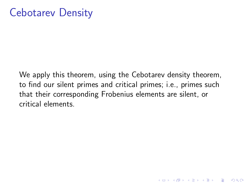We apply this theorem, using the Cebotarev density theorem, to find our silent primes and critical primes; i.e., primes such that their corresponding Frobenius elements are silent, or critical elements.

K ロ ▶ K @ ▶ K 할 > K 할 > 1 할 > 1 이익어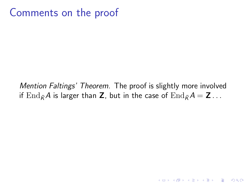### Comments on the proof

#### Mention Faltings' Theorem. The proof is slightly more involved if  $\text{End}_{\bar{K}}A$  is larger than Z, but in the case of  $\text{End}_{\bar{K}}A = \mathbf{Z} \dots$

**KORKA SERKER ORA**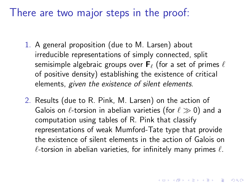### There are two major steps in the proof:

- 1. A general proposition (due to M. Larsen) about irreducible representations of simply connected, split semisimple algebraic groups over  $\mathbf{F}_{\ell}$  (for a set of primes  $\ell$ of positive density) establishing the existence of critical elements, given the existence of silent elements.
- 2. Results (due to R. Pink, M. Larsen) on the action of Galois on  $\ell$ -torsion in abelian varieties (for  $\ell \gg 0$ ) and a computation using tables of R. Pink that classify representations of weak Mumford-Tate type that provide the existence of silent elements in the action of Galois on  $\ell$ -torsion in abelian varieties, for infinitely many primes  $\ell$ .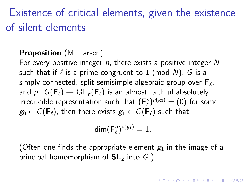# Existence of critical elements, given the existence of silent elements

#### Proposition (M. Larsen)

For every positive integer  $n$ , there exists a positive integer  $N$ such that if  $\ell$  is a prime congruent to 1 (mod N), G is a simply connected, split semisimple algebraic group over  $\mathsf{F}_\ell$ , and  $\rho: G(\mathbf{F}_{\ell}) \to GL_n(\mathbf{F}_{\ell})$  is an almost faithful absolutely irreducible representation such that  $(\mathsf{F}_\ell^n)^{\rho(g_0)} = (0)$  for some  $g_0 \in G(\mathbf{F}_{\ell})$ , then there exists  $g_1 \in G(\mathbf{F}_{\ell})$  such that

$$
\dim(\mathsf{F}_{\ell}^n)^{\rho(g_1)}=1.
$$

(Often one finds the appropriate element  $g_1$  in the image of a principal homomorphism of  $SL<sub>2</sub>$  into G.)

**KORKAR KERKER EL VOLO**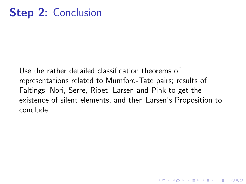Use the rather detailed classification theorems of representations related to Mumford-Tate pairs; results of Faltings, Nori, Serre, Ribet, Larsen and Pink to get the existence of silent elements, and then Larsen's Proposition to conclude.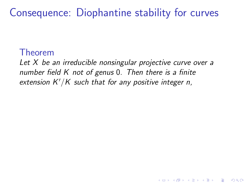Consequence: Diophantine stability for curves

#### Theorem

Let  $X$  be an irreducible nonsingular projective curve over a number field K not of genus 0. Then there is a finite extension  $K'/K$  such that for any positive integer n,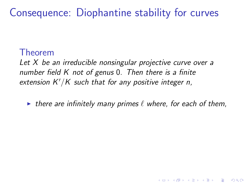Consequence: Diophantine stability for curves

#### Theorem

Let X be an irreducible nonsingular projective curve over a number field K not of genus 0. Then there is a finite extension  $K'/K$  such that for any positive integer n,

In there are infinitely many primes  $\ell$  where, for each of them,